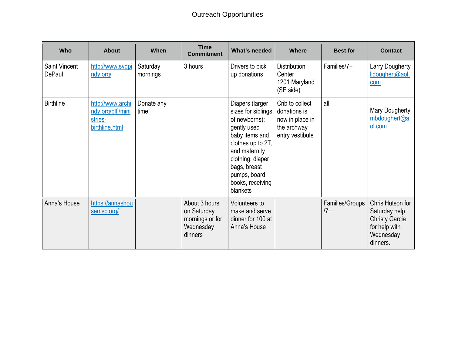| Who                            | <b>About</b>                                                       | When                 | <b>Time</b><br><b>Commitment</b>                                        | What's needed                                                                                                                                                                                                     | <b>Where</b>                                                                         | <b>Best for</b>          | <b>Contact</b>                                                                                        |
|--------------------------------|--------------------------------------------------------------------|----------------------|-------------------------------------------------------------------------|-------------------------------------------------------------------------------------------------------------------------------------------------------------------------------------------------------------------|--------------------------------------------------------------------------------------|--------------------------|-------------------------------------------------------------------------------------------------------|
| <b>Saint Vincent</b><br>DePaul | http://www.svdpi<br>ndy.org/                                       | Saturday<br>mornings | 3 hours                                                                 | Drivers to pick<br>up donations                                                                                                                                                                                   | <b>Distribution</b><br>Center<br>1201 Maryland<br>(SE side)                          | Families/7+              | Larry Dougherty<br>ljdoughert@aol.<br>com                                                             |
| <b>Birthline</b>               | http://www.archi<br>ndy.org/plfl/mini<br>stries-<br>birthline.html | Donate any<br>time!  |                                                                         | Diapers (larger<br>sizes for siblings<br>of newborns);<br>gently used<br>baby items and<br>clothes up to 2T,<br>and maternity<br>clothing, diaper<br>bags, breast<br>pumps, board<br>books, receiving<br>blankets | Crib to collect<br>donations is<br>now in place in<br>the archway<br>entry vestibule | all                      | <b>Mary Dougherty</b><br>mbdoughert@a<br>ol.com                                                       |
| Anna's House                   | https://annashou<br>semsc.org/                                     |                      | About 3 hours<br>on Saturday<br>mornings or for<br>Wednesday<br>dinners | Volunteers to<br>make and serve<br>dinner for 100 at<br>Anna's House                                                                                                                                              |                                                                                      | Families/Groups<br>$17+$ | Chris Hutson for<br>Saturday help.<br><b>Christy Garcia</b><br>for help with<br>Wednesday<br>dinners. |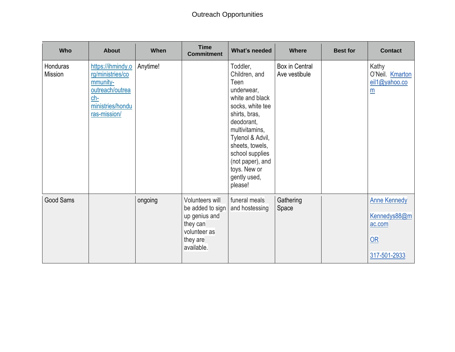## Outreach Opportunities

| Who                               | <b>About</b>                                                                                                    | When     | <b>Time</b><br><b>Commitment</b>                                                                           | What's needed                                                                                                                                                                                                                                                    | <b>Where</b>                    | <b>Best for</b> | <b>Contact</b>                                                      |
|-----------------------------------|-----------------------------------------------------------------------------------------------------------------|----------|------------------------------------------------------------------------------------------------------------|------------------------------------------------------------------------------------------------------------------------------------------------------------------------------------------------------------------------------------------------------------------|---------------------------------|-----------------|---------------------------------------------------------------------|
| <b>Honduras</b><br><b>Mission</b> | https://ihmindy.o<br>rg/ministries/co<br>mmunity-<br>outreach/outrea<br>ch-<br>ministries/hondu<br>ras-mission/ | Anytime! |                                                                                                            | Toddler,<br>Children, and<br>Teen<br>underwear,<br>white and black<br>socks, white tee<br>shirts, bras,<br>deodorant,<br>multivitamins,<br>Tylenol & Advil,<br>sheets, towels,<br>school supplies<br>(not paper), and<br>toys. New or<br>gently used,<br>please! | Box in Central<br>Ave vestibule |                 | Kathy<br>O'Neil. <b>Kmarton</b><br>eil1@yahoo.co<br>$\underline{m}$ |
| <b>Good Sams</b>                  |                                                                                                                 | ongoing  | Volunteers will<br>be added to sign<br>up genius and<br>they can<br>volunteer as<br>they are<br>available. | funeral meals<br>and hostessing                                                                                                                                                                                                                                  | Gathering<br>Space              |                 | <b>Anne Kennedy</b><br>Kennedys88@m<br>ac.com<br>OR<br>317-501-2933 |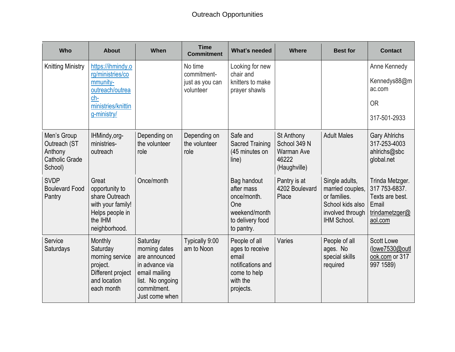| Who                                                                        | <b>About</b>                                                                                                  | When                                                                                                                               | <b>Time</b><br><b>Commitment</b>      | What's needed                                                                                           | <b>Where</b>                                                             | <b>Best for</b>                                                                                           | <b>Contact</b>                                                                            |
|----------------------------------------------------------------------------|---------------------------------------------------------------------------------------------------------------|------------------------------------------------------------------------------------------------------------------------------------|---------------------------------------|---------------------------------------------------------------------------------------------------------|--------------------------------------------------------------------------|-----------------------------------------------------------------------------------------------------------|-------------------------------------------------------------------------------------------|
| <b>Knitting Ministry</b>                                                   | https://ihmindy.o<br>rg/ministries/co                                                                         |                                                                                                                                    | No time<br>commitment-                | Looking for new<br>chair and                                                                            |                                                                          |                                                                                                           | Anne Kennedy                                                                              |
|                                                                            | mmunity-<br>outreach/outrea                                                                                   |                                                                                                                                    | just as you can<br>volunteer          | knitters to make<br>prayer shawls                                                                       |                                                                          |                                                                                                           | Kennedys88@m<br>ac.com                                                                    |
|                                                                            | ch-<br>ministries/knittin                                                                                     |                                                                                                                                    |                                       |                                                                                                         |                                                                          |                                                                                                           | <b>OR</b>                                                                                 |
|                                                                            | g-ministry/                                                                                                   |                                                                                                                                    |                                       |                                                                                                         |                                                                          |                                                                                                           | 317-501-2933                                                                              |
| Men's Group<br>Outreach (ST<br>Anthony<br><b>Catholic Grade</b><br>School) | IHMindy, org-<br>ministries-<br>outreach                                                                      | Depending on<br>the volunteer<br>role                                                                                              | Depending on<br>the volunteer<br>role | Safe and<br><b>Sacred Training</b><br>(45 minutes on<br>line)                                           | St Anthony<br>School 349 N<br><b>Warman Ave</b><br>46222<br>(Haughville) | <b>Adult Males</b>                                                                                        | <b>Gary Ahlrichs</b><br>317-253-4003<br>ahlrichs@sbc<br>global.net                        |
| <b>SVDP</b><br><b>Boulevard Food</b><br>Pantry                             | Great<br>opportunity to<br>share Outreach<br>with your family!<br>Helps people in<br>the IHM<br>neighborhood. | Once/month                                                                                                                         |                                       | Bag handout<br>after mass<br>once/month.<br>One<br>weekend/month<br>to delivery food<br>to pantry.      | Pantry is at<br>4202 Boulevard<br>Place                                  | Single adults,<br>married couples,<br>or families.<br>School kids also<br>involved through<br>IHM School. | Trinda Metzger.<br>317 753-6837.<br>Texts are best.<br>Email<br>trindametzger@<br>aol.com |
| Service<br>Saturdays                                                       | Monthly<br>Saturday<br>morning service<br>project.<br>Different project<br>and location<br>each month         | Saturday<br>morning dates<br>are announced<br>in advance via<br>email mailing<br>list. No ongoing<br>commitment.<br>Just come when | Typically 9:00<br>am to Noon          | People of all<br>ages to receive<br>email<br>notifications and<br>come to help<br>with the<br>projects. | Varies                                                                   | People of all<br>ages. No<br>special skills<br>required                                                   | <b>Scott Lowe</b><br>(lowe7530@outl<br>ook.com or 317<br>997 1589)                        |